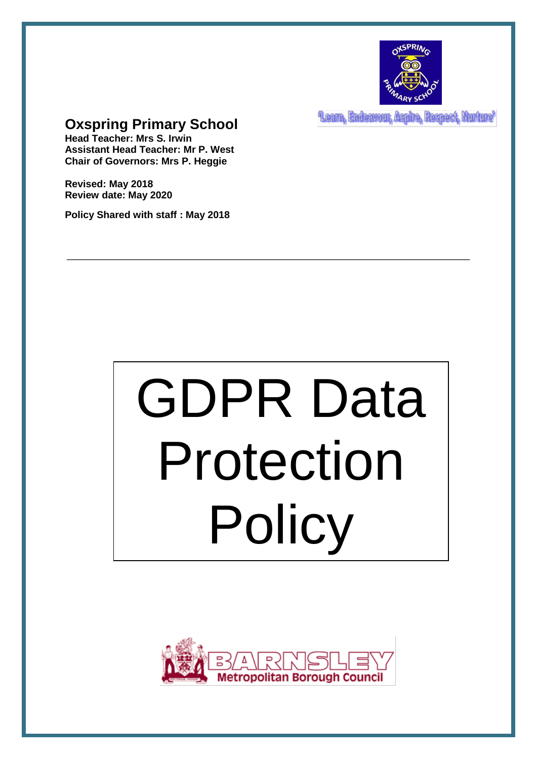

Leam, Endeavour, Aspire, Respect, Murture'

# **Oxspring Primary School**

**Head Teacher: Mrs S. Irwin Assistant Head Teacher: Mr P. West Chair of Governors: Mrs P. Heggie**

**Revised: May 2018 Review date: May 2020**

**Policy Shared with staff : May 2018**

# GDPR Data Protection **Policy**

\_\_\_\_\_\_\_\_\_\_\_\_\_\_\_\_\_\_\_\_\_\_\_\_\_\_\_\_\_\_\_\_\_\_\_\_\_\_\_\_\_\_\_\_\_\_\_\_\_\_\_\_\_\_\_\_\_\_\_\_\_\_\_\_\_\_\_\_\_\_\_\_\_

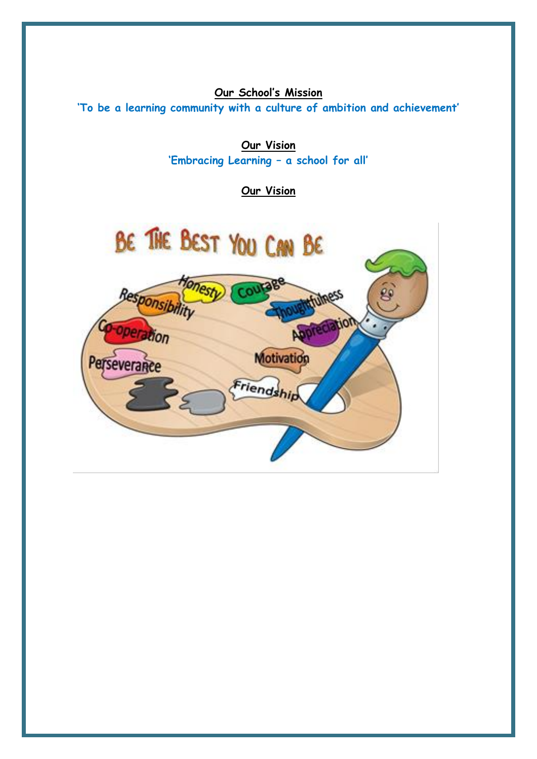**Our School's Mission 'To be a learning community with a culture of ambition and achievement'**

> **Our Vision 'Embracing Learning – a school for all'**

> > **Our Vision**

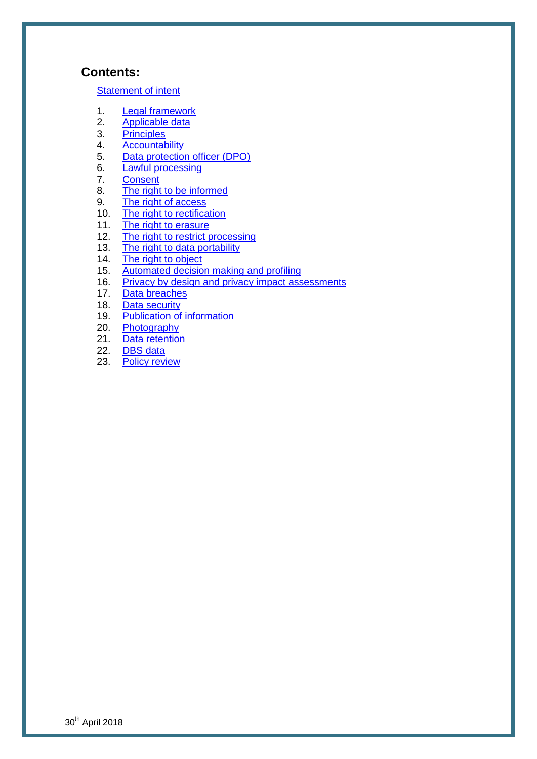#### **Contents:**

#### [Statement of intent](#page-3-0)

- 1. [Legal framework](#page-4-0)
- 2. [Applicable data](#page-4-1)
- 3. [Principles](#page-5-0)
- 4. [Accountability](#page-6-0)
- 5. [Data protection officer \(DPO\)](#page-8-0)
- 6. [Lawful processing](#page-8-1)
- 7. [Consent](#page-9-0)
- 8. [The right to be informed](#page-10-0)<br>9. The right of access
- [The right of access](#page-11-0)
- 10. [The right to rectification](#page-12-0)
- 11. [The right to erasure](#page-12-1)
- 12. [The right to restrict processing](#page-13-0)
- 13. [The right to data portability](#page-14-0)
- 14. [The right to object](#page-15-0)
- 15. [Automated decision making and profiling](#page-15-1)
- 16. [Privacy by design and privacy impact assessments](#page-16-0)
- 17. [Data breaches](#page-17-0)
- 18. [Data security](#page-18-0)
- 19. [Publication of information](#page-19-0)
- 20. [Photography](#page-19-1)
- 21. [Data retention](#page-20-0)
- 22. [DBS data](#page-20-1)
- 23. [Policy review](#page-20-2)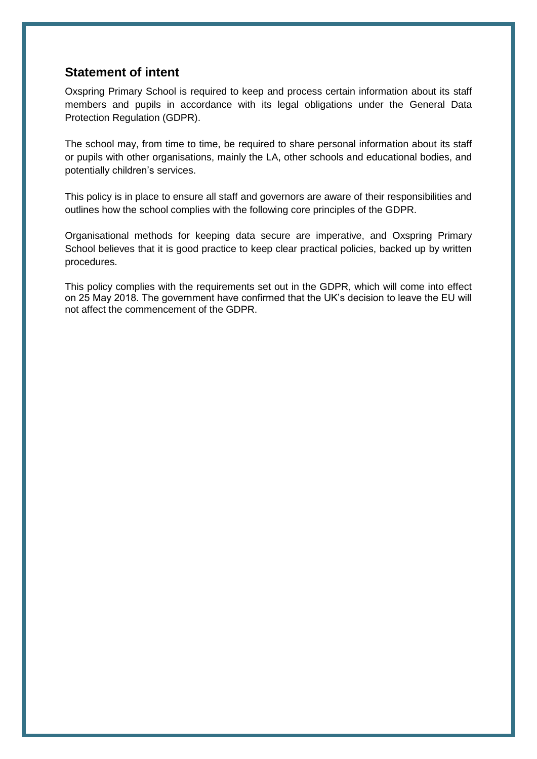#### <span id="page-3-0"></span>**Statement of intent**

Oxspring Primary School is required to keep and process certain information about its staff members and pupils in accordance with its legal obligations under the General Data Protection Regulation (GDPR).

The school may, from time to time, be required to share personal information about its staff or pupils with other organisations, mainly the LA, other schools and educational bodies, and potentially children's services.

This policy is in place to ensure all staff and governors are aware of their responsibilities and outlines how the school complies with the following core principles of the GDPR.

Organisational methods for keeping data secure are imperative, and Oxspring Primary School believes that it is good practice to keep clear practical policies, backed up by written procedures.

This policy complies with the requirements set out in the GDPR, which will come into effect on 25 May 2018. The government have confirmed that the UK's decision to leave the EU will not affect the commencement of the GDPR.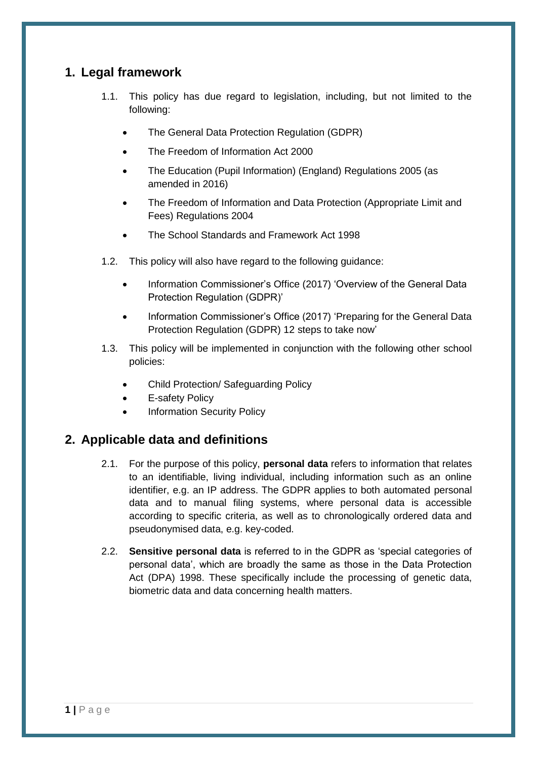# <span id="page-4-0"></span>**1. Legal framework**

- 1.1. This policy has due regard to legislation, including, but not limited to the following:
	- The General Data Protection Regulation (GDPR)
	- The Freedom of Information Act 2000
	- The Education (Pupil Information) (England) Regulations 2005 (as amended in 2016)
	- The Freedom of Information and Data Protection (Appropriate Limit and Fees) Regulations 2004
	- The School Standards and Framework Act 1998
- 1.2. This policy will also have regard to the following guidance:
	- Information Commissioner's Office (2017) 'Overview of the General Data Protection Regulation (GDPR)'
	- Information Commissioner's Office (2017) 'Preparing for the General Data Protection Regulation (GDPR) 12 steps to take now'
- 1.3. This policy will be implemented in conjunction with the following other school policies:
	- Child Protection/ Safeguarding Policy
	- E-safety Policy
	- Information Security Policy

#### <span id="page-4-1"></span>**2. Applicable data and definitions**

- 2.1. For the purpose of this policy, **personal data** refers to information that relates to an identifiable, living individual, including information such as an online identifier, e.g. an IP address. The GDPR applies to both automated personal data and to manual filing systems, where personal data is accessible according to specific criteria, as well as to chronologically ordered data and pseudonymised data, e.g. key-coded.
- 2.2. **Sensitive personal data** is referred to in the GDPR as 'special categories of personal data', which are broadly the same as those in the Data Protection Act (DPA) 1998. These specifically include the processing of genetic data, biometric data and data concerning health matters.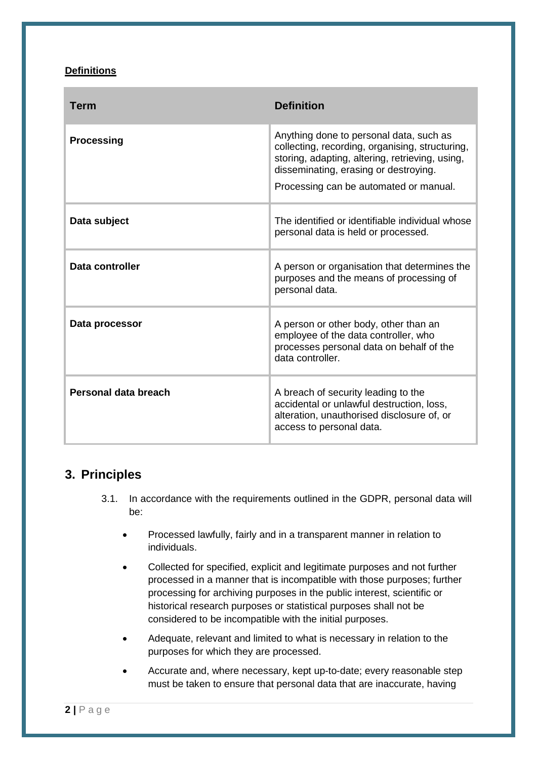#### **Definitions**

| Term                 | <b>Definition</b>                                                                                                                                                                                                                |
|----------------------|----------------------------------------------------------------------------------------------------------------------------------------------------------------------------------------------------------------------------------|
| <b>Processing</b>    | Anything done to personal data, such as<br>collecting, recording, organising, structuring,<br>storing, adapting, altering, retrieving, using,<br>disseminating, erasing or destroying.<br>Processing can be automated or manual. |
| Data subject         | The identified or identifiable individual whose<br>personal data is held or processed.                                                                                                                                           |
| Data controller      | A person or organisation that determines the<br>purposes and the means of processing of<br>personal data.                                                                                                                        |
| Data processor       | A person or other body, other than an<br>employee of the data controller, who<br>processes personal data on behalf of the<br>data controller.                                                                                    |
| Personal data breach | A breach of security leading to the<br>accidental or unlawful destruction, loss,<br>alteration, unauthorised disclosure of, or<br>access to personal data.                                                                       |

# <span id="page-5-0"></span>**3. Principles**

- 3.1. In accordance with the requirements outlined in the GDPR, personal data will be:
	- Processed lawfully, fairly and in a transparent manner in relation to individuals.
	- Collected for specified, explicit and legitimate purposes and not further processed in a manner that is incompatible with those purposes; further processing for archiving purposes in the public interest, scientific or historical research purposes or statistical purposes shall not be considered to be incompatible with the initial purposes.
	- Adequate, relevant and limited to what is necessary in relation to the purposes for which they are processed.
	- Accurate and, where necessary, kept up-to-date; every reasonable step must be taken to ensure that personal data that are inaccurate, having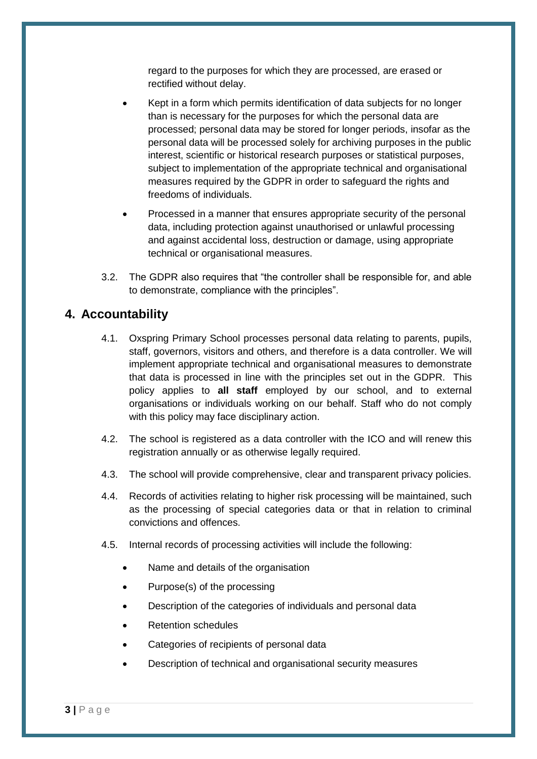regard to the purposes for which they are processed, are erased or rectified without delay.

- Kept in a form which permits identification of data subjects for no longer than is necessary for the purposes for which the personal data are processed; personal data may be stored for longer periods, insofar as the personal data will be processed solely for archiving purposes in the public interest, scientific or historical research purposes or statistical purposes, subject to implementation of the appropriate technical and organisational measures required by the GDPR in order to safeguard the rights and freedoms of individuals.
- Processed in a manner that ensures appropriate security of the personal data, including protection against unauthorised or unlawful processing and against accidental loss, destruction or damage, using appropriate technical or organisational measures.
- 3.2. The GDPR also requires that "the controller shall be responsible for, and able to demonstrate, compliance with the principles".

# <span id="page-6-0"></span>**4. Accountability**

- 4.1. Oxspring Primary School processes personal data relating to parents, pupils, staff, governors, visitors and others, and therefore is a data controller. We will implement appropriate technical and organisational measures to demonstrate that data is processed in line with the principles set out in the GDPR. This policy applies to **all staff** employed by our school, and to external organisations or individuals working on our behalf. Staff who do not comply with this policy may face disciplinary action.
- 4.2. The school is registered as a data controller with the ICO and will renew this registration annually or as otherwise legally required.
- 4.3. The school will provide comprehensive, clear and transparent privacy policies.
- 4.4. Records of activities relating to higher risk processing will be maintained, such as the processing of special categories data or that in relation to criminal convictions and offences.
- 4.5. Internal records of processing activities will include the following:
	- Name and details of the organisation
	- Purpose(s) of the processing
	- Description of the categories of individuals and personal data
	- Retention schedules
	- Categories of recipients of personal data
	- Description of technical and organisational security measures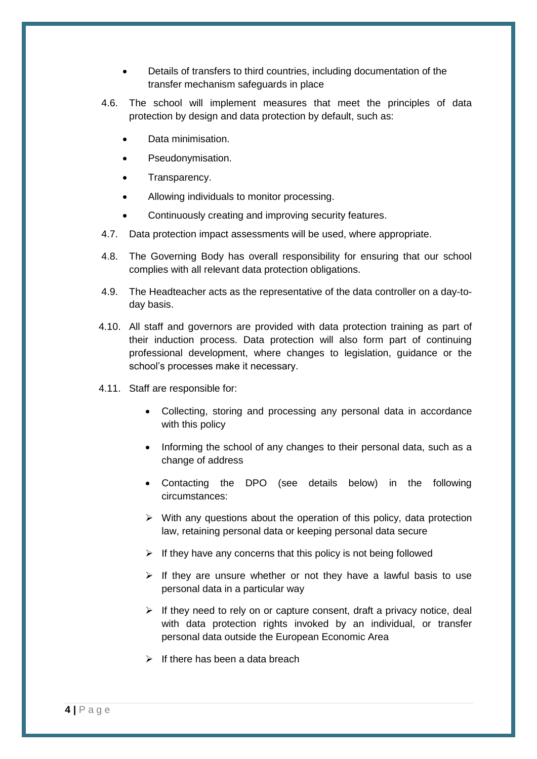- Details of transfers to third countries, including documentation of the transfer mechanism safeguards in place
- 4.6. The school will implement measures that meet the principles of data protection by design and data protection by default, such as:
	- Data minimisation.
	- Pseudonymisation.
	- Transparency.
	- Allowing individuals to monitor processing.
	- Continuously creating and improving security features.
- 4.7. Data protection impact assessments will be used, where appropriate.
- 4.8. The Governing Body has overall responsibility for ensuring that our school complies with all relevant data protection obligations.
- 4.9. The Headteacher acts as the representative of the data controller on a day-today basis.
- 4.10. All staff and governors are provided with data protection training as part of their induction process. Data protection will also form part of continuing professional development, where changes to legislation, guidance or the school's processes make it necessary.
- 4.11. Staff are responsible for:
	- Collecting, storing and processing any personal data in accordance with this policy
	- Informing the school of any changes to their personal data, such as a change of address
	- Contacting the DPO (see details below) in the following circumstances:
	- $\triangleright$  With any questions about the operation of this policy, data protection law, retaining personal data or keeping personal data secure
	- $\triangleright$  If they have any concerns that this policy is not being followed
	- $\triangleright$  If they are unsure whether or not they have a lawful basis to use personal data in a particular way
	- $\triangleright$  If they need to rely on or capture consent, draft a privacy notice, deal with data protection rights invoked by an individual, or transfer personal data outside the European Economic Area
	- $\triangleright$  If there has been a data breach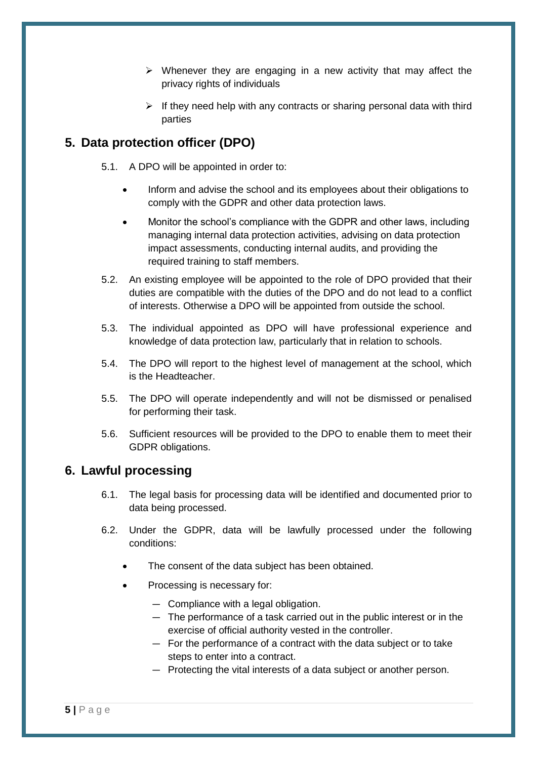- $\triangleright$  Whenever they are engaging in a new activity that may affect the privacy rights of individuals
- $\triangleright$  If they need help with any contracts or sharing personal data with third parties

# <span id="page-8-0"></span>**5. Data protection officer (DPO)**

- 5.1. A DPO will be appointed in order to:
	- Inform and advise the school and its employees about their obligations to comply with the GDPR and other data protection laws.
	- Monitor the school's compliance with the GDPR and other laws, including managing internal data protection activities, advising on data protection impact assessments, conducting internal audits, and providing the required training to staff members.
- 5.2. An existing employee will be appointed to the role of DPO provided that their duties are compatible with the duties of the DPO and do not lead to a conflict of interests. Otherwise a DPO will be appointed from outside the school.
- 5.3. The individual appointed as DPO will have professional experience and knowledge of data protection law, particularly that in relation to schools.
- 5.4. The DPO will report to the highest level of management at the school, which is the Headteacher.
- 5.5. The DPO will operate independently and will not be dismissed or penalised for performing their task.
- 5.6. Sufficient resources will be provided to the DPO to enable them to meet their GDPR obligations.

# <span id="page-8-1"></span>**6. Lawful processing**

- 6.1. The legal basis for processing data will be identified and documented prior to data being processed.
- 6.2. Under the GDPR, data will be lawfully processed under the following conditions:
	- The consent of the data subject has been obtained.
	- Processing is necessary for:
		- Compliance with a legal obligation.
		- The performance of a task carried out in the public interest or in the exercise of official authority vested in the controller.
		- For the performance of a contract with the data subject or to take steps to enter into a contract.
		- Protecting the vital interests of a data subject or another person.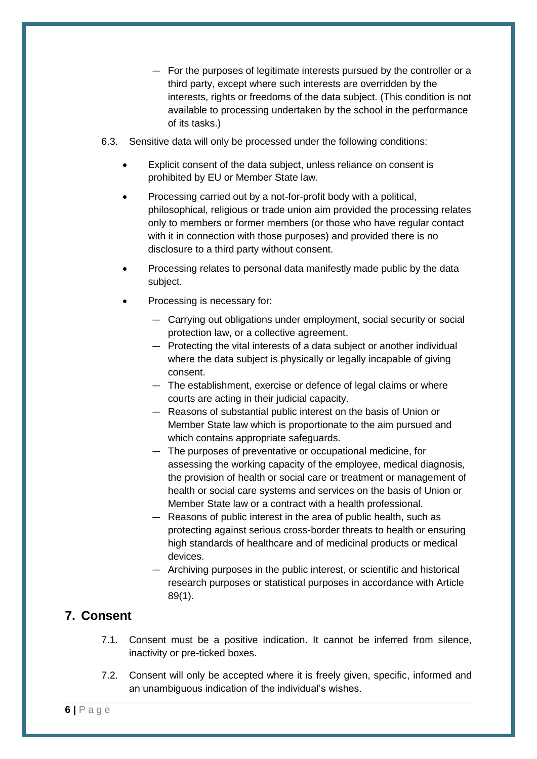- For the purposes of legitimate interests pursued by the controller or a third party, except where such interests are overridden by the interests, rights or freedoms of the data subject. (This condition is not available to processing undertaken by the school in the performance of its tasks.)
- 6.3. Sensitive data will only be processed under the following conditions:
	- Explicit consent of the data subject, unless reliance on consent is prohibited by EU or Member State law.
	- Processing carried out by a not-for-profit body with a political, philosophical, religious or trade union aim provided the processing relates only to members or former members (or those who have regular contact with it in connection with those purposes) and provided there is no disclosure to a third party without consent.
	- Processing relates to personal data manifestly made public by the data subject.
	- Processing is necessary for:
		- Carrying out obligations under employment, social security or social protection law, or a collective agreement.
		- Protecting the vital interests of a data subject or another individual where the data subject is physically or legally incapable of giving consent.
		- The establishment, exercise or defence of legal claims or where courts are acting in their judicial capacity.
		- Reasons of substantial public interest on the basis of Union or Member State law which is proportionate to the aim pursued and which contains appropriate safeguards.
		- The purposes of preventative or occupational medicine, for assessing the working capacity of the employee, medical diagnosis, the provision of health or social care or treatment or management of health or social care systems and services on the basis of Union or Member State law or a contract with a health professional.
		- Reasons of public interest in the area of public health, such as protecting against serious cross-border threats to health or ensuring high standards of healthcare and of medicinal products or medical devices.
		- Archiving purposes in the public interest, or scientific and historical research purposes or statistical purposes in accordance with Article 89(1).

# <span id="page-9-0"></span>**7. Consent**

- 7.1. Consent must be a positive indication. It cannot be inferred from silence, inactivity or pre-ticked boxes.
- 7.2. Consent will only be accepted where it is freely given, specific, informed and an unambiguous indication of the individual's wishes.

**6 |** P a g e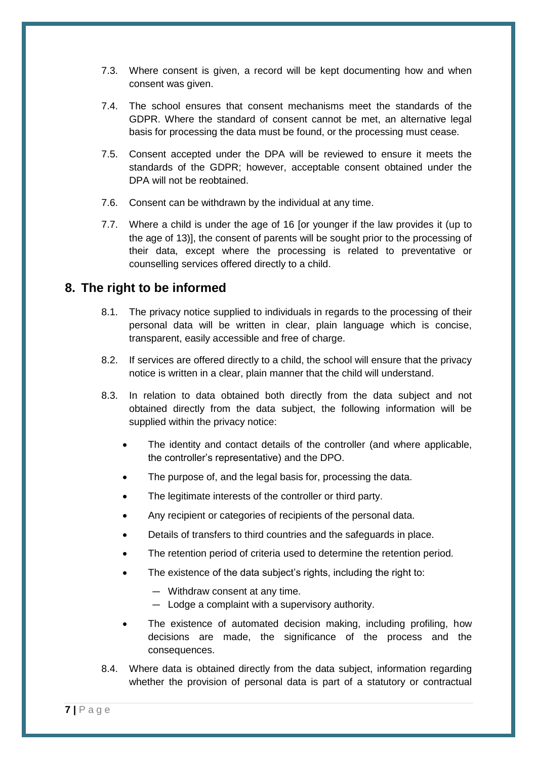- 7.3. Where consent is given, a record will be kept documenting how and when consent was given.
- 7.4. The school ensures that consent mechanisms meet the standards of the GDPR. Where the standard of consent cannot be met, an alternative legal basis for processing the data must be found, or the processing must cease.
- 7.5. Consent accepted under the DPA will be reviewed to ensure it meets the standards of the GDPR; however, acceptable consent obtained under the DPA will not be reobtained.
- 7.6. Consent can be withdrawn by the individual at any time.
- 7.7. Where a child is under the age of 16 [or younger if the law provides it (up to the age of 13)], the consent of parents will be sought prior to the processing of their data, except where the processing is related to preventative or counselling services offered directly to a child.

#### <span id="page-10-0"></span>**8. The right to be informed**

- 8.1. The privacy notice supplied to individuals in regards to the processing of their personal data will be written in clear, plain language which is concise, transparent, easily accessible and free of charge.
- 8.2. If services are offered directly to a child, the school will ensure that the privacy notice is written in a clear, plain manner that the child will understand.
- 8.3. In relation to data obtained both directly from the data subject and not obtained directly from the data subject, the following information will be supplied within the privacy notice:
	- The identity and contact details of the controller (and where applicable, the controller's representative) and the DPO.
	- The purpose of, and the legal basis for, processing the data.
	- The legitimate interests of the controller or third party.
	- Any recipient or categories of recipients of the personal data.
	- Details of transfers to third countries and the safeguards in place.
	- The retention period of criteria used to determine the retention period.
	- The existence of the data subject's rights, including the right to:
		- Withdraw consent at any time.
		- Lodge a complaint with a supervisory authority.
	- The existence of automated decision making, including profiling, how decisions are made, the significance of the process and the consequences.
- 8.4. Where data is obtained directly from the data subject, information regarding whether the provision of personal data is part of a statutory or contractual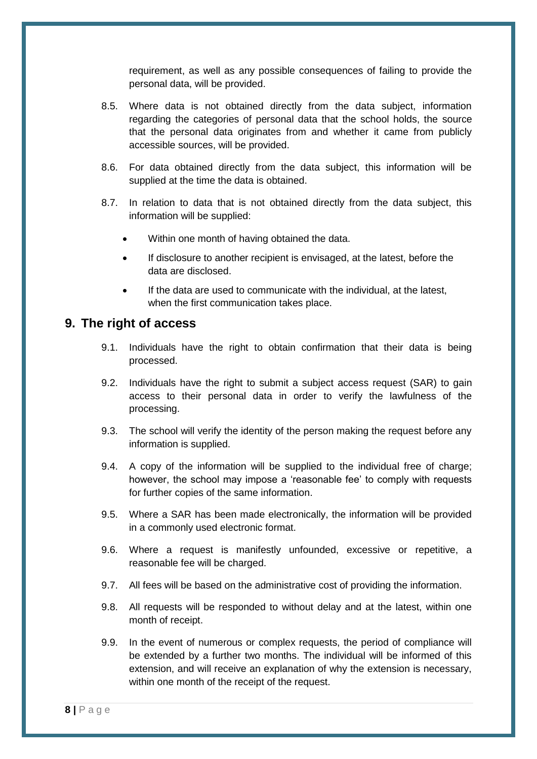requirement, as well as any possible consequences of failing to provide the personal data, will be provided.

- 8.5. Where data is not obtained directly from the data subject, information regarding the categories of personal data that the school holds, the source that the personal data originates from and whether it came from publicly accessible sources, will be provided.
- 8.6. For data obtained directly from the data subject, this information will be supplied at the time the data is obtained.
- 8.7. In relation to data that is not obtained directly from the data subject, this information will be supplied:
	- Within one month of having obtained the data.
	- If disclosure to another recipient is envisaged, at the latest, before the data are disclosed.
	- If the data are used to communicate with the individual, at the latest, when the first communication takes place.

#### <span id="page-11-0"></span>**9. The right of access**

- 9.1. Individuals have the right to obtain confirmation that their data is being processed.
- 9.2. Individuals have the right to submit a subject access request (SAR) to gain access to their personal data in order to verify the lawfulness of the processing.
- 9.3. The school will verify the identity of the person making the request before any information is supplied.
- 9.4. A copy of the information will be supplied to the individual free of charge; however, the school may impose a 'reasonable fee' to comply with requests for further copies of the same information.
- 9.5. Where a SAR has been made electronically, the information will be provided in a commonly used electronic format.
- 9.6. Where a request is manifestly unfounded, excessive or repetitive, a reasonable fee will be charged.
- 9.7. All fees will be based on the administrative cost of providing the information.
- 9.8. All requests will be responded to without delay and at the latest, within one month of receipt.
- 9.9. In the event of numerous or complex requests, the period of compliance will be extended by a further two months. The individual will be informed of this extension, and will receive an explanation of why the extension is necessary, within one month of the receipt of the request.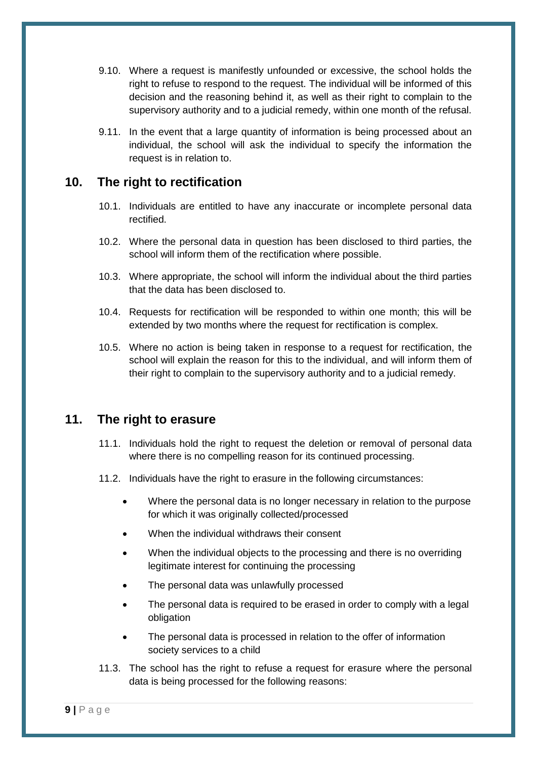- 9.10. Where a request is manifestly unfounded or excessive, the school holds the right to refuse to respond to the request. The individual will be informed of this decision and the reasoning behind it, as well as their right to complain to the supervisory authority and to a judicial remedy, within one month of the refusal.
- 9.11. In the event that a large quantity of information is being processed about an individual, the school will ask the individual to specify the information the request is in relation to.

#### <span id="page-12-0"></span>**10. The right to rectification**

- 10.1. Individuals are entitled to have any inaccurate or incomplete personal data rectified.
- 10.2. Where the personal data in question has been disclosed to third parties, the school will inform them of the rectification where possible.
- 10.3. Where appropriate, the school will inform the individual about the third parties that the data has been disclosed to.
- 10.4. Requests for rectification will be responded to within one month; this will be extended by two months where the request for rectification is complex.
- 10.5. Where no action is being taken in response to a request for rectification, the school will explain the reason for this to the individual, and will inform them of their right to complain to the supervisory authority and to a judicial remedy.

#### <span id="page-12-1"></span>**11. The right to erasure**

- 11.1. Individuals hold the right to request the deletion or removal of personal data where there is no compelling reason for its continued processing.
- 11.2. Individuals have the right to erasure in the following circumstances:
	- Where the personal data is no longer necessary in relation to the purpose for which it was originally collected/processed
	- When the individual withdraws their consent
	- When the individual objects to the processing and there is no overriding legitimate interest for continuing the processing
	- The personal data was unlawfully processed
	- The personal data is required to be erased in order to comply with a legal obligation
	- The personal data is processed in relation to the offer of information society services to a child
- 11.3. The school has the right to refuse a request for erasure where the personal data is being processed for the following reasons: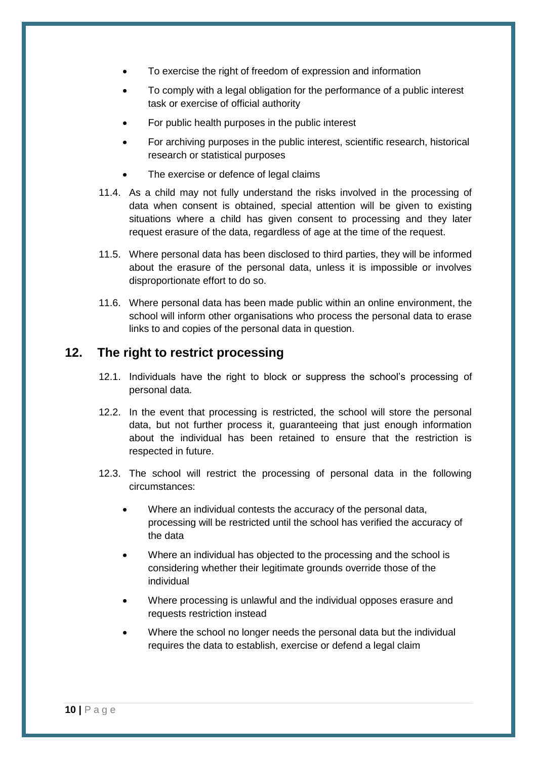- To exercise the right of freedom of expression and information
- To comply with a legal obligation for the performance of a public interest task or exercise of official authority
- For public health purposes in the public interest
- For archiving purposes in the public interest, scientific research, historical research or statistical purposes
- The exercise or defence of legal claims
- 11.4. As a child may not fully understand the risks involved in the processing of data when consent is obtained, special attention will be given to existing situations where a child has given consent to processing and they later request erasure of the data, regardless of age at the time of the request.
- 11.5. Where personal data has been disclosed to third parties, they will be informed about the erasure of the personal data, unless it is impossible or involves disproportionate effort to do so.
- 11.6. Where personal data has been made public within an online environment, the school will inform other organisations who process the personal data to erase links to and copies of the personal data in question.

#### <span id="page-13-0"></span>**12. The right to restrict processing**

- 12.1. Individuals have the right to block or suppress the school's processing of personal data.
- 12.2. In the event that processing is restricted, the school will store the personal data, but not further process it, guaranteeing that just enough information about the individual has been retained to ensure that the restriction is respected in future.
- 12.3. The school will restrict the processing of personal data in the following circumstances:
	- Where an individual contests the accuracy of the personal data, processing will be restricted until the school has verified the accuracy of the data
	- Where an individual has objected to the processing and the school is considering whether their legitimate grounds override those of the individual
	- Where processing is unlawful and the individual opposes erasure and requests restriction instead
	- Where the school no longer needs the personal data but the individual requires the data to establish, exercise or defend a legal claim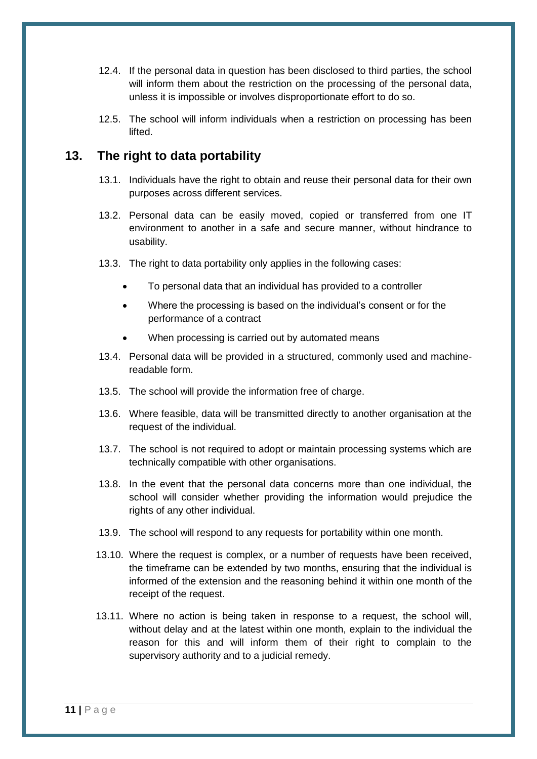- 12.4. If the personal data in question has been disclosed to third parties, the school will inform them about the restriction on the processing of the personal data, unless it is impossible or involves disproportionate effort to do so.
- 12.5. The school will inform individuals when a restriction on processing has been lifted.

#### <span id="page-14-0"></span>**13. The right to data portability**

- 13.1. Individuals have the right to obtain and reuse their personal data for their own purposes across different services.
- 13.2. Personal data can be easily moved, copied or transferred from one IT environment to another in a safe and secure manner, without hindrance to usability.
- 13.3. The right to data portability only applies in the following cases:
	- To personal data that an individual has provided to a controller
	- Where the processing is based on the individual's consent or for the performance of a contract
	- When processing is carried out by automated means
- 13.4. Personal data will be provided in a structured, commonly used and machinereadable form.
- 13.5. The school will provide the information free of charge.
- 13.6. Where feasible, data will be transmitted directly to another organisation at the request of the individual.
- 13.7. The school is not required to adopt or maintain processing systems which are technically compatible with other organisations.
- 13.8. In the event that the personal data concerns more than one individual, the school will consider whether providing the information would prejudice the rights of any other individual.
- 13.9. The school will respond to any requests for portability within one month.
- 13.10. Where the request is complex, or a number of requests have been received, the timeframe can be extended by two months, ensuring that the individual is informed of the extension and the reasoning behind it within one month of the receipt of the request.
- 13.11. Where no action is being taken in response to a request, the school will, without delay and at the latest within one month, explain to the individual the reason for this and will inform them of their right to complain to the supervisory authority and to a judicial remedy.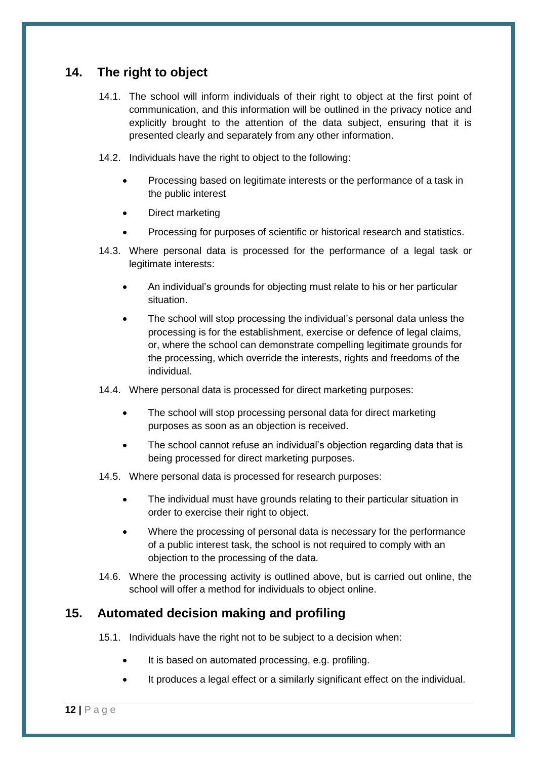# <span id="page-15-0"></span>**14. The right to object**

- 14.1. The school will inform individuals of their right to object at the first point of communication, and this information will be outlined in the privacy notice and explicitly brought to the attention of the data subject, ensuring that it is presented clearly and separately from any other information.
- 14.2. Individuals have the right to object to the following:
	- Processing based on legitimate interests or the performance of a task in the public interest
	- Direct marketing
	- Processing for purposes of scientific or historical research and statistics.
- 14.3. Where personal data is processed for the performance of a legal task or legitimate interests:
	- An individual's grounds for objecting must relate to his or her particular situation.
	- The school will stop processing the individual's personal data unless the processing is for the establishment, exercise or defence of legal claims, or, where the school can demonstrate compelling legitimate grounds for the processing, which override the interests, rights and freedoms of the individual.
- 14.4. Where personal data is processed for direct marketing purposes:
	- The school will stop processing personal data for direct marketing purposes as soon as an objection is received.
	- The school cannot refuse an individual's objection regarding data that is being processed for direct marketing purposes.
- 14.5. Where personal data is processed for research purposes:
	- The individual must have grounds relating to their particular situation in order to exercise their right to object.
	- Where the processing of personal data is necessary for the performance of a public interest task, the school is not required to comply with an objection to the processing of the data.
- 14.6. Where the processing activity is outlined above, but is carried out online, the school will offer a method for individuals to object online.

# <span id="page-15-1"></span>**15. Automated decision making and profiling**

15.1. Individuals have the right not to be subject to a decision when:

- It is based on automated processing, e.g. profiling.
- It produces a legal effect or a similarly significant effect on the individual.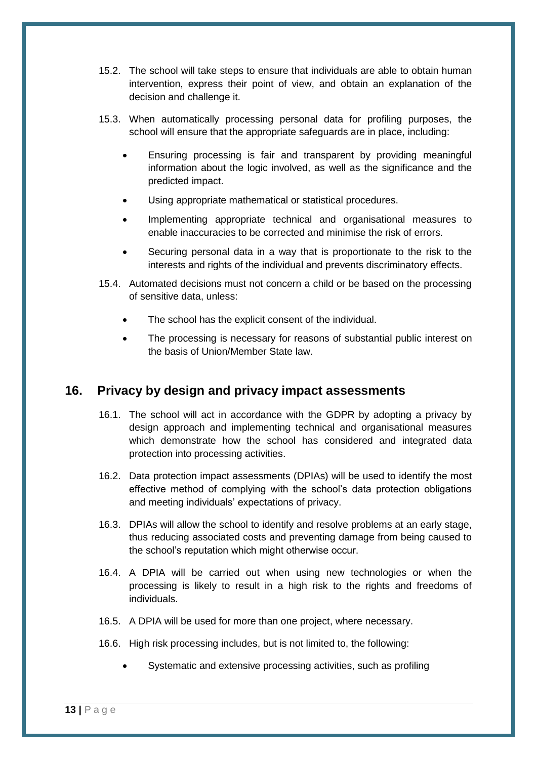- 15.2. The school will take steps to ensure that individuals are able to obtain human intervention, express their point of view, and obtain an explanation of the decision and challenge it.
- 15.3. When automatically processing personal data for profiling purposes, the school will ensure that the appropriate safeguards are in place, including:
	- Ensuring processing is fair and transparent by providing meaningful information about the logic involved, as well as the significance and the predicted impact.
	- Using appropriate mathematical or statistical procedures.
	- Implementing appropriate technical and organisational measures to enable inaccuracies to be corrected and minimise the risk of errors.
	- Securing personal data in a way that is proportionate to the risk to the interests and rights of the individual and prevents discriminatory effects.
- 15.4. Automated decisions must not concern a child or be based on the processing of sensitive data, unless:
	- The school has the explicit consent of the individual.
	- The processing is necessary for reasons of substantial public interest on the basis of Union/Member State law.

# <span id="page-16-0"></span>**16. Privacy by design and privacy impact assessments**

- 16.1. The school will act in accordance with the GDPR by adopting a privacy by design approach and implementing technical and organisational measures which demonstrate how the school has considered and integrated data protection into processing activities.
- 16.2. Data protection impact assessments (DPIAs) will be used to identify the most effective method of complying with the school's data protection obligations and meeting individuals' expectations of privacy.
- 16.3. DPIAs will allow the school to identify and resolve problems at an early stage, thus reducing associated costs and preventing damage from being caused to the school's reputation which might otherwise occur.
- 16.4. A DPIA will be carried out when using new technologies or when the processing is likely to result in a high risk to the rights and freedoms of individuals.
- 16.5. A DPIA will be used for more than one project, where necessary.
- 16.6. High risk processing includes, but is not limited to, the following:
	- Systematic and extensive processing activities, such as profiling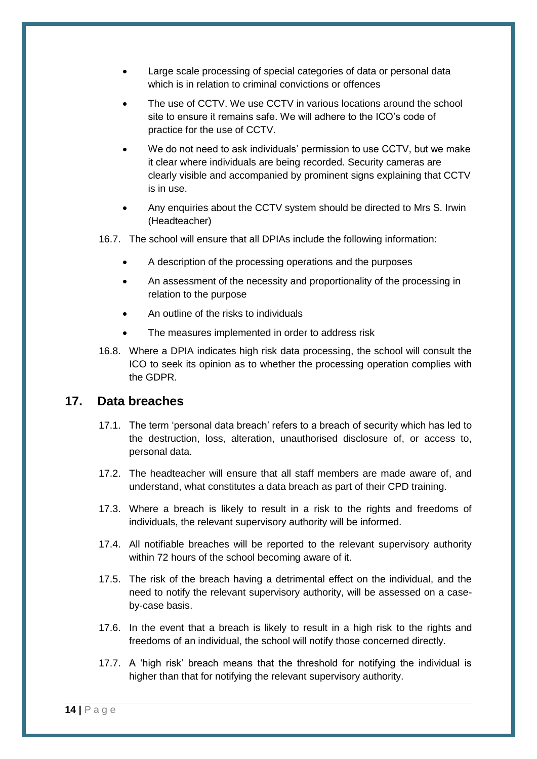- Large scale processing of special categories of data or personal data which is in relation to criminal convictions or offences
- The use of CCTV. We use CCTV in various locations around the school site to ensure it remains safe. We will adhere to the ICO's code of practice for the use of CCTV.
- We do not need to ask individuals' permission to use CCTV, but we make it clear where individuals are being recorded. Security cameras are clearly visible and accompanied by prominent signs explaining that CCTV is in use.
- Any enquiries about the CCTV system should be directed to Mrs S. Irwin (Headteacher)
- 16.7. The school will ensure that all DPIAs include the following information:
	- A description of the processing operations and the purposes
	- An assessment of the necessity and proportionality of the processing in relation to the purpose
	- An outline of the risks to individuals
	- The measures implemented in order to address risk
- 16.8. Where a DPIA indicates high risk data processing, the school will consult the ICO to seek its opinion as to whether the processing operation complies with the GDPR.

#### <span id="page-17-0"></span>**17. Data breaches**

- 17.1. The term 'personal data breach' refers to a breach of security which has led to the destruction, loss, alteration, unauthorised disclosure of, or access to, personal data.
- 17.2. The headteacher will ensure that all staff members are made aware of, and understand, what constitutes a data breach as part of their CPD training.
- 17.3. Where a breach is likely to result in a risk to the rights and freedoms of individuals, the relevant supervisory authority will be informed.
- 17.4. All notifiable breaches will be reported to the relevant supervisory authority within 72 hours of the school becoming aware of it.
- 17.5. The risk of the breach having a detrimental effect on the individual, and the need to notify the relevant supervisory authority, will be assessed on a caseby-case basis.
- 17.6. In the event that a breach is likely to result in a high risk to the rights and freedoms of an individual, the school will notify those concerned directly.
- 17.7. A 'high risk' breach means that the threshold for notifying the individual is higher than that for notifying the relevant supervisory authority.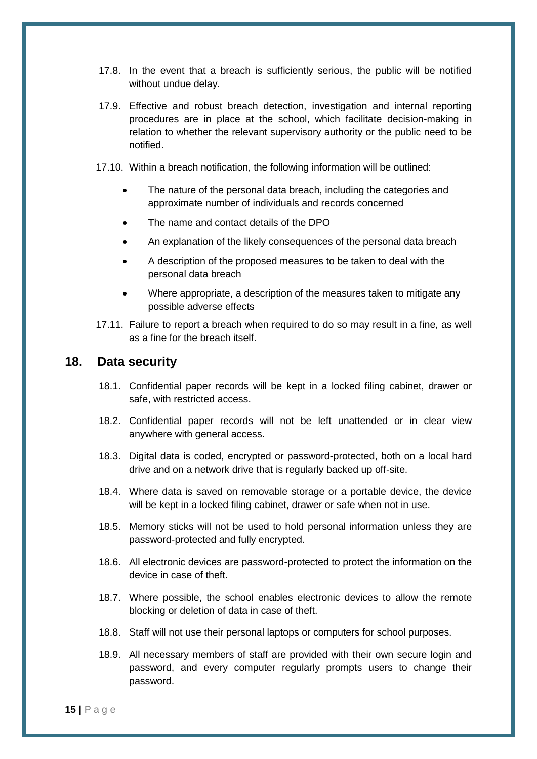- 17.8. In the event that a breach is sufficiently serious, the public will be notified without undue delay.
- 17.9. Effective and robust breach detection, investigation and internal reporting procedures are in place at the school, which facilitate decision-making in relation to whether the relevant supervisory authority or the public need to be notified.
- 17.10. Within a breach notification, the following information will be outlined:
	- The nature of the personal data breach, including the categories and approximate number of individuals and records concerned
	- The name and contact details of the DPO
	- An explanation of the likely consequences of the personal data breach
	- A description of the proposed measures to be taken to deal with the personal data breach
	- Where appropriate, a description of the measures taken to mitigate any possible adverse effects
- 17.11. Failure to report a breach when required to do so may result in a fine, as well as a fine for the breach itself.

#### <span id="page-18-0"></span>**18. Data security**

- 18.1. Confidential paper records will be kept in a locked filing cabinet, drawer or safe, with restricted access.
- 18.2. Confidential paper records will not be left unattended or in clear view anywhere with general access.
- 18.3. Digital data is coded, encrypted or password-protected, both on a local hard drive and on a network drive that is regularly backed up off-site.
- 18.4. Where data is saved on removable storage or a portable device, the device will be kept in a locked filing cabinet, drawer or safe when not in use.
- 18.5. Memory sticks will not be used to hold personal information unless they are password-protected and fully encrypted.
- 18.6. All electronic devices are password-protected to protect the information on the device in case of theft.
- 18.7. Where possible, the school enables electronic devices to allow the remote blocking or deletion of data in case of theft.
- 18.8. Staff will not use their personal laptops or computers for school purposes.
- 18.9. All necessary members of staff are provided with their own secure login and password, and every computer regularly prompts users to change their password.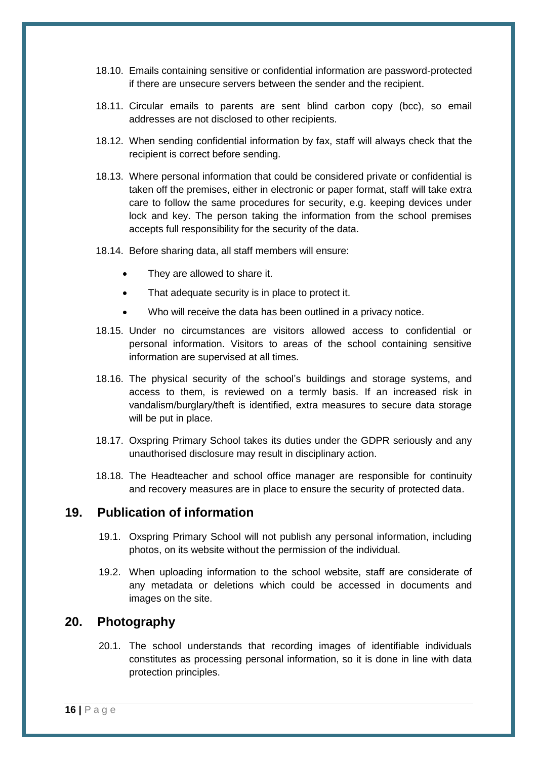- 18.10. Emails containing sensitive or confidential information are password-protected if there are unsecure servers between the sender and the recipient.
- 18.11. Circular emails to parents are sent blind carbon copy (bcc), so email addresses are not disclosed to other recipients.
- 18.12. When sending confidential information by fax, staff will always check that the recipient is correct before sending.
- 18.13. Where personal information that could be considered private or confidential is taken off the premises, either in electronic or paper format, staff will take extra care to follow the same procedures for security, e.g. keeping devices under lock and key. The person taking the information from the school premises accepts full responsibility for the security of the data.
- 18.14. Before sharing data, all staff members will ensure:
	- They are allowed to share it.
	- That adequate security is in place to protect it.
	- Who will receive the data has been outlined in a privacy notice.
- 18.15. Under no circumstances are visitors allowed access to confidential or personal information. Visitors to areas of the school containing sensitive information are supervised at all times.
- 18.16. The physical security of the school's buildings and storage systems, and access to them, is reviewed on a termly basis. If an increased risk in vandalism/burglary/theft is identified, extra measures to secure data storage will be put in place.
- 18.17. Oxspring Primary School takes its duties under the GDPR seriously and any unauthorised disclosure may result in disciplinary action.
- 18.18. The Headteacher and school office manager are responsible for continuity and recovery measures are in place to ensure the security of protected data.

#### <span id="page-19-0"></span>**19. Publication of information**

- 19.1. Oxspring Primary School will not publish any personal information, including photos, on its website without the permission of the individual.
- 19.2. When uploading information to the school website, staff are considerate of any metadata or deletions which could be accessed in documents and images on the site.

#### <span id="page-19-1"></span>**20. Photography**

20.1. The school understands that recording images of identifiable individuals constitutes as processing personal information, so it is done in line with data protection principles.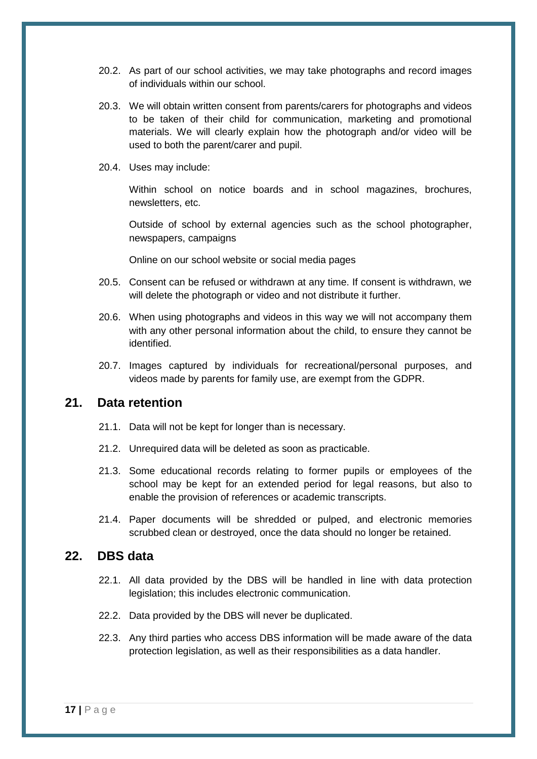- 20.2. As part of our school activities, we may take photographs and record images of individuals within our school.
- 20.3. We will obtain written consent from parents/carers for photographs and videos to be taken of their child for communication, marketing and promotional materials. We will clearly explain how the photograph and/or video will be used to both the parent/carer and pupil.
- 20.4. Uses may include:

Within school on notice boards and in school magazines, brochures, newsletters, etc.

Outside of school by external agencies such as the school photographer, newspapers, campaigns

Online on our school website or social media pages

- 20.5. Consent can be refused or withdrawn at any time. If consent is withdrawn, we will delete the photograph or video and not distribute it further.
- 20.6. When using photographs and videos in this way we will not accompany them with any other personal information about the child, to ensure they cannot be identified.
- 20.7. Images captured by individuals for recreational/personal purposes, and videos made by parents for family use, are exempt from the GDPR.

#### <span id="page-20-0"></span>**21. Data retention**

- 21.1. Data will not be kept for longer than is necessary.
- 21.2. Unrequired data will be deleted as soon as practicable.
- 21.3. Some educational records relating to former pupils or employees of the school may be kept for an extended period for legal reasons, but also to enable the provision of references or academic transcripts.
- 21.4. Paper documents will be shredded or pulped, and electronic memories scrubbed clean or destroyed, once the data should no longer be retained.

#### <span id="page-20-1"></span>**22. DBS data**

- 22.1. All data provided by the DBS will be handled in line with data protection legislation; this includes electronic communication.
- 22.2. Data provided by the DBS will never be duplicated.
- <span id="page-20-2"></span>22.3. Any third parties who access DBS information will be made aware of the data protection legislation, as well as their responsibilities as a data handler.